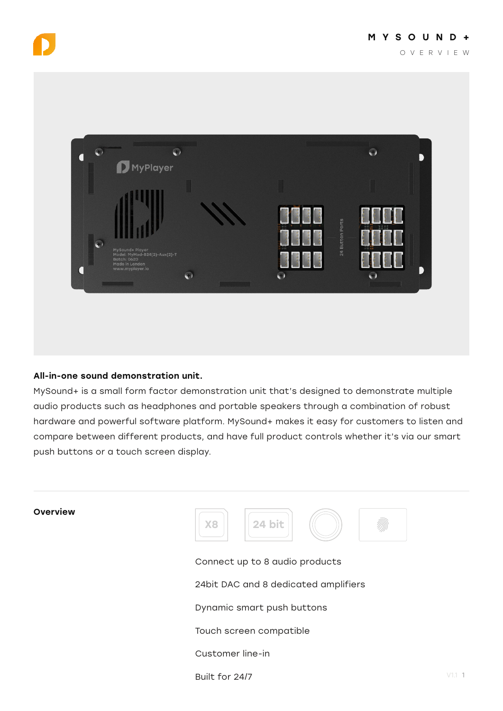



## All-in-one sound demonstration unit.

MySound+ is a small form factor demonstration unit that's designed to demonstrate multiple audio products such as headphones and portable speakers through a combination of robust hardware and powerful software platform. MySound+ makes it easy for customers to listen and compare between different products, and have full product controls whether it's via our smart push buttons or a touch screen display.

Connect up to 8 audio products Overview 24bit DAC and 8 dedicated amplifiers Dynamic smart push buttons Touch screen compatible Customer line-in X8 || 124 bit

Built for 24/7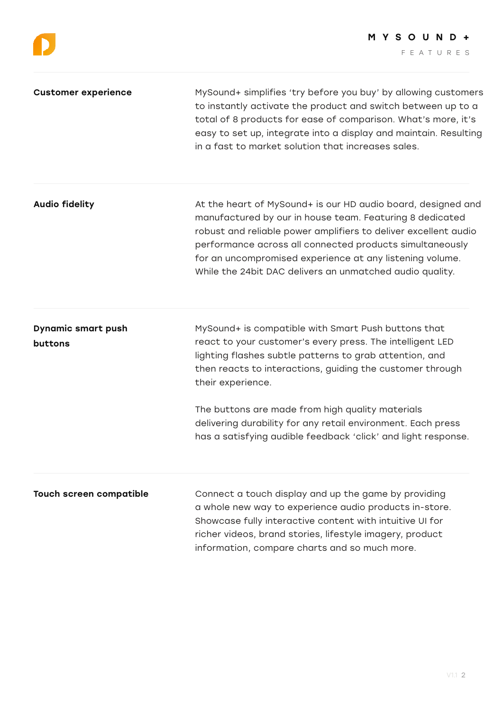| <b>Customer experience</b>           | MySound+ simplifies 'try before you buy' by allowing customers<br>to instantly activate the product and switch between up to a<br>total of 8 products for ease of comparison. What's more, it's<br>easy to set up, integrate into a display and maintain. Resulting<br>in a fast to market solution that increases sales.                                                                                                                          |
|--------------------------------------|----------------------------------------------------------------------------------------------------------------------------------------------------------------------------------------------------------------------------------------------------------------------------------------------------------------------------------------------------------------------------------------------------------------------------------------------------|
| <b>Audio fidelity</b>                | At the heart of MySound+ is our HD audio board, designed and<br>manufactured by our in house team. Featuring 8 dedicated<br>robust and reliable power amplifiers to deliver excellent audio<br>performance across all connected products simultaneously<br>for an uncompromised experience at any listening volume.<br>While the 24bit DAC delivers an unmatched audio quality.                                                                    |
| <b>Dynamic smart push</b><br>buttons | MySound+ is compatible with Smart Push buttons that<br>react to your customer's every press. The intelligent LED<br>lighting flashes subtle patterns to grab attention, and<br>then reacts to interactions, guiding the customer through<br>their experience.<br>The buttons are made from high quality materials<br>delivering durability for any retail environment. Each press<br>has a satisfying audible feedback 'click' and light response. |
| <b>Touch screen compatible</b>       | Connect a touch display and up the game by providing<br>a whole new way to experience audio products in-store.<br>Showcase fully interactive content with intuitive UI for<br>richer videos, brand stories, lifestyle imagery, product<br>information, compare charts and so much more.                                                                                                                                                            |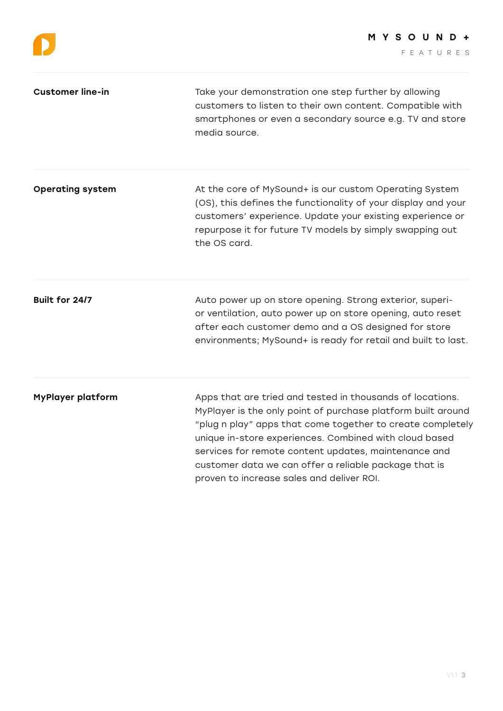| <b>Customer line-in</b>  | Take your demonstration one step further by allowing<br>customers to listen to their own content. Compatible with<br>smartphones or even a secondary source e.g. TV and store<br>media source.                                                                                                                                                                                                                  |
|--------------------------|-----------------------------------------------------------------------------------------------------------------------------------------------------------------------------------------------------------------------------------------------------------------------------------------------------------------------------------------------------------------------------------------------------------------|
| <b>Operating system</b>  | At the core of MySound+ is our custom Operating System<br>(OS), this defines the functionality of your display and your<br>customers' experience. Update your existing experience or<br>repurpose it for future TV models by simply swapping out<br>the OS card.                                                                                                                                                |
| Built for 24/7           | Auto power up on store opening. Strong exterior, superi-<br>or ventilation, auto power up on store opening, auto reset<br>after each customer demo and a OS designed for store<br>environments; MySound+ is ready for retail and built to last.                                                                                                                                                                 |
| <b>MyPlayer platform</b> | Apps that are tried and tested in thousands of locations.<br>MyPlayer is the only point of purchase platform built around<br>"plug n play" apps that come together to create completely<br>unique in-store experiences. Combined with cloud based<br>services for remote content updates, maintenance and<br>customer data we can offer a reliable package that is<br>proven to increase sales and deliver ROI. |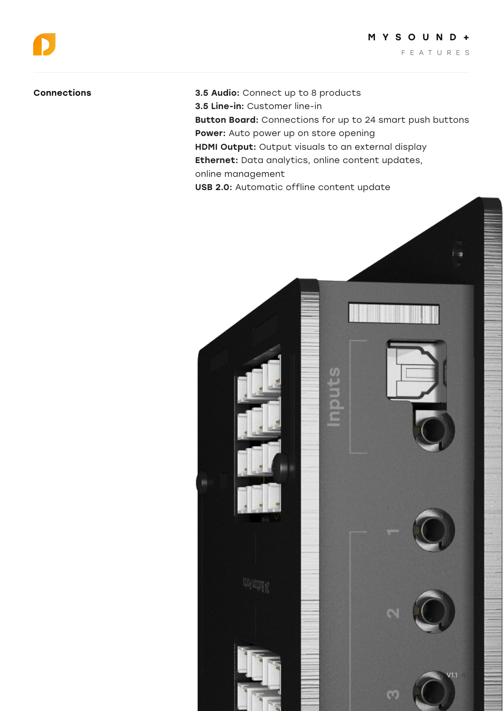Connections 3.5 Audio: Connect up to 8 products 3.5 Line-in: Customer line-in Button Board: Connections for up to 24 smart push buttons Power: Auto power up on store opening HDMI Output: Output visuals to an external display Ethernet: Data analytics, online content updates, online management USB 2.0: Automatic offline content update

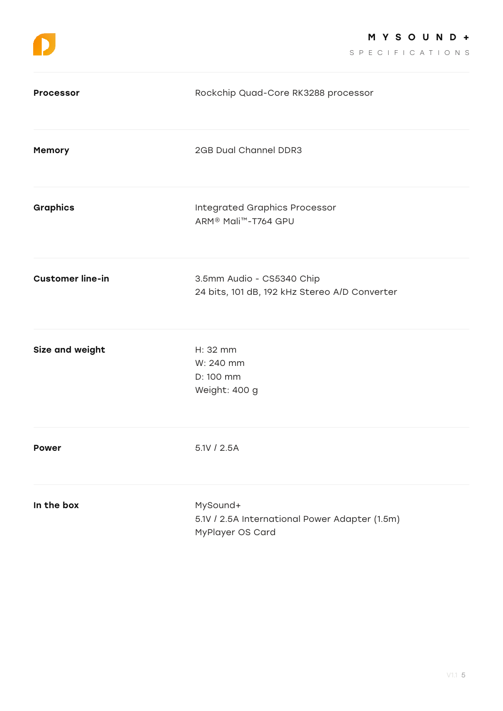SPECIFICATIONS

| <b>Processor</b>        | Rockchip Quad-Core RK3288 processor                                                  |
|-------------------------|--------------------------------------------------------------------------------------|
| Memory                  | 2GB Dual Channel DDR3                                                                |
| <b>Graphics</b>         | <b>Integrated Graphics Processor</b><br>ARM <sup>®</sup> Mali <sup>™</sup> -T764 GPU |
| <b>Customer line-in</b> | 3.5mm Audio - CS5340 Chip<br>24 bits, 101 dB, 192 kHz Stereo A/D Converter           |
| Size and weight         | H: 32 mm<br>W: 240 mm<br>D: 100 mm<br>Weight: 400 g                                  |
| <b>Power</b>            | 5.1V / 2.5A                                                                          |
| In the box              | MySound+<br>5.1V / 2.5A International Power Adapter (1.5m)<br>MyPlayer OS Card       |